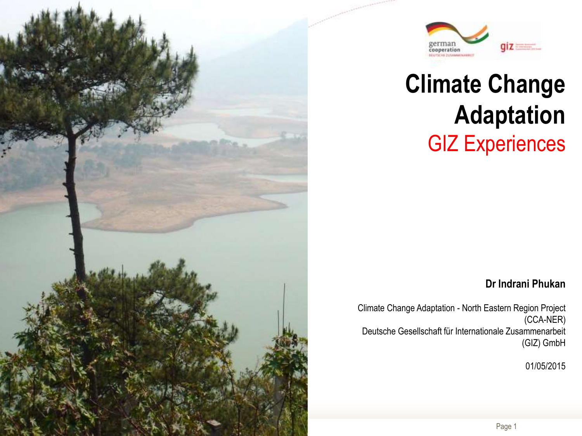



## **Climate Change Adaptation**  GIZ Experiences

#### **Dr Indrani Phukan**

Climate Change Adaptation - North Eastern Region Project (CCA-NER) Deutsche Gesellschaft für Internationale Zusammenarbeit (GIZ) GmbH

01/05/2015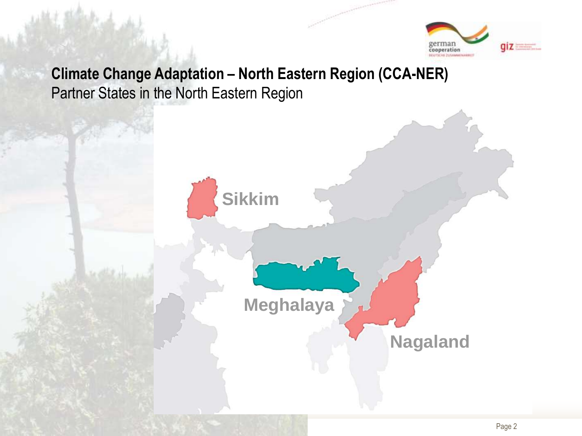

#### **Climate Change Adaptation – North Eastern Region (CCA-NER)** Partner States in the North Eastern Region

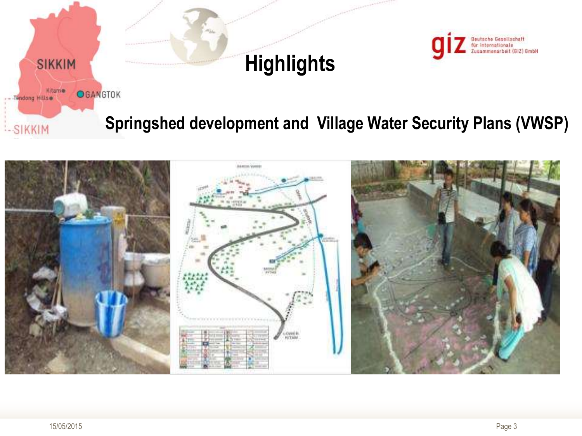

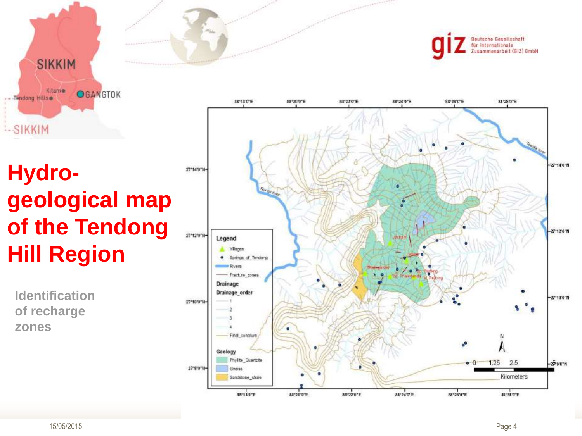**SIKKIM** Kitame **OGANGTOK** - - Tendong Hills :-SIKKIM

### **Hydro geological map of the Tendong Hill Region**

**Identification of recharge zones**



Deutsche Gesellschaft für Internationale ammenarbeit (GIZ) GmbH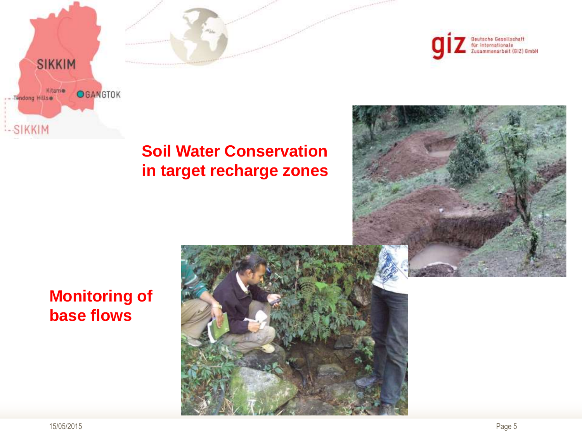



#### **Soil Water Conservation in target recharge zones**



#### **Monitoring of base flows**

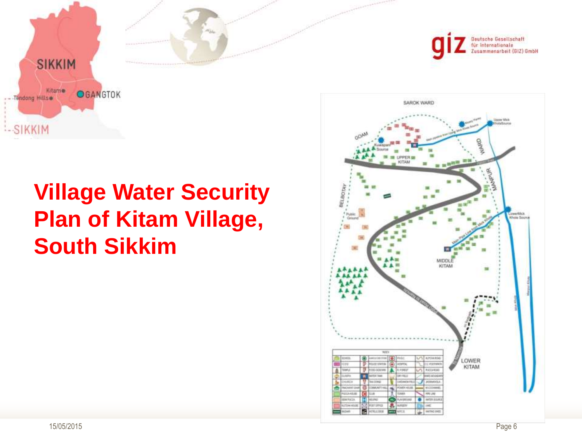

### **Village Water Security Plan of Kitam Village, South Sikkim**

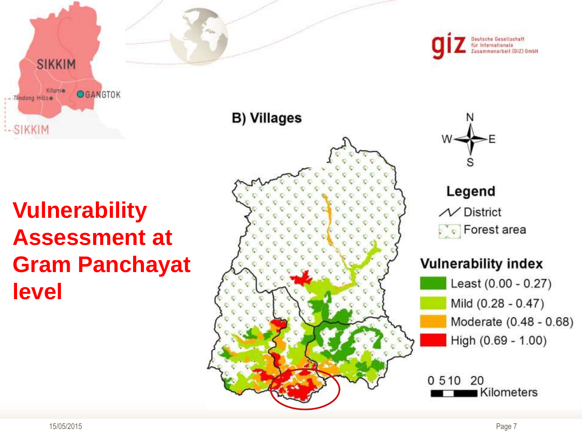**SIKKIM** Kitame **OGANGTOK** Tendong Hills --SIKKIM

### **Vulnerability Assessment at Gram Panchayat level**





Legend  $\mathcal N$  District  $\begin{bmatrix} 1 & 1 \\ 1 & 1 \end{bmatrix}$  Forest area

#### **Vulnerability index**



0 5 1 0 20 Kilometers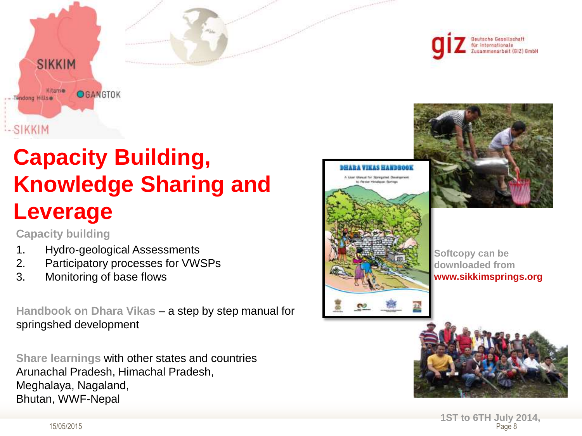

### **Capacity Building, Knowledge Sharing and Leverage**

**Capacity building**

- 1. Hydro-geological Assessments
- 2. Participatory processes for VWSPs
- 3. Monitoring of base flows

**Handbook on Dhara Vikas** – a step by step manual for springshed development

**Share learnings** with other states and countries Arunachal Pradesh, Himachal Pradesh, Meghalaya, Nagaland, Bhutan, WWF-Nepal







**Softcopy can be downloaded from www.sikkimsprings.org**



15/05/2015 Page 8 **1ST to 6TH July 2014,**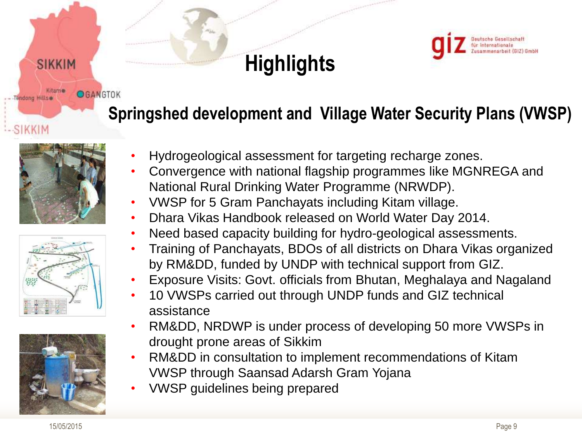

### **Springshed development and Village Water Security Plans (VWSP)**



SIKKIM

Kitame

endong Hills

SIKKIM

**OGANGTOK** 





- Hydrogeological assessment for targeting recharge zones.
- Convergence with national flagship programmes like MGNREGA and National Rural Drinking Water Programme (NRWDP).
- VWSP for 5 Gram Panchayats including Kitam village.
- Dhara Vikas Handbook released on World Water Day 2014.
- Need based capacity building for hydro-geological assessments.
- Training of Panchayats, BDOs of all districts on Dhara Vikas organized by RM&DD, funded by UNDP with technical support from GIZ.
- Exposure Visits: Govt. officials from Bhutan, Meghalaya and Nagaland
- 10 VWSPs carried out through UNDP funds and GIZ technical assistance
- RM&DD, NRDWP is under process of developing 50 more VWSPs in drought prone areas of Sikkim
- RM&DD in consultation to implement recommendations of Kitam VWSP through Saansad Adarsh Gram Yojana
- VWSP guidelines being prepared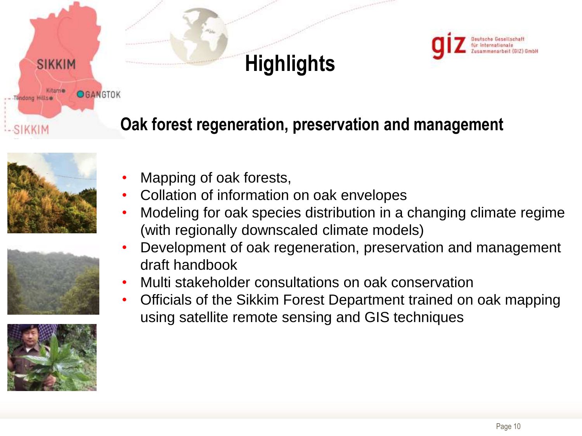

### **Oak forest regeneration, preservation and management**



SIKKIM

Kitame

endong Hillse

SIKKIM

OGANGTOK





- Mapping of oak forests,
- Collation of information on oak envelopes
- Modeling for oak species distribution in a changing climate regime (with regionally downscaled climate models)
- Development of oak regeneration, preservation and management draft handbook
- Multi stakeholder consultations on oak conservation
- Officials of the Sikkim Forest Department trained on oak mapping using satellite remote sensing and GIS techniques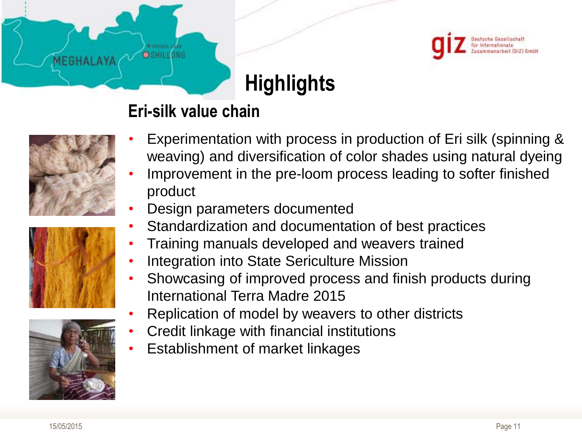

#### **Eri-silk value chain**

**O** SHILLONG



MEGHALAY





- Experimentation with process in production of Eri silk (spinning & weaving) and diversification of color shades using natural dyeing
- Improvement in the pre-loom process leading to softer finished product
- Design parameters documented
	- Standardization and documentation of best practices
	- Training manuals developed and weavers trained
- Integration into State Sericulture Mission
- Showcasing of improved process and finish products during International Terra Madre 2015
- Replication of model by weavers to other districts
- Credit linkage with financial institutions
- Establishment of market linkages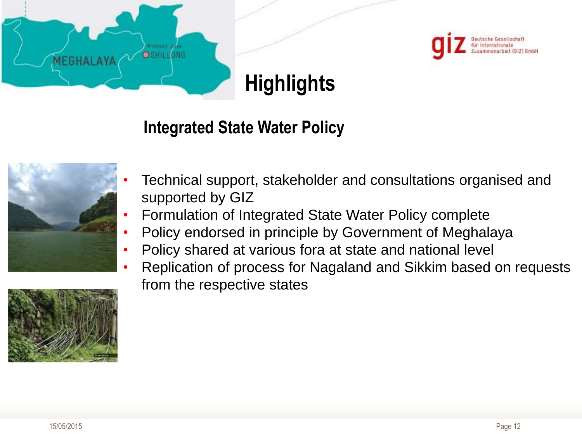



#### **Integrated State Water Policy**





- Formulation of Integrated State Water Policy complete
- Policy endorsed in principle by Government of Meghalaya
- Policy shared at various fora at state and national level
- Replication of process for Nagaland and Sikkim based on requests from the respective states

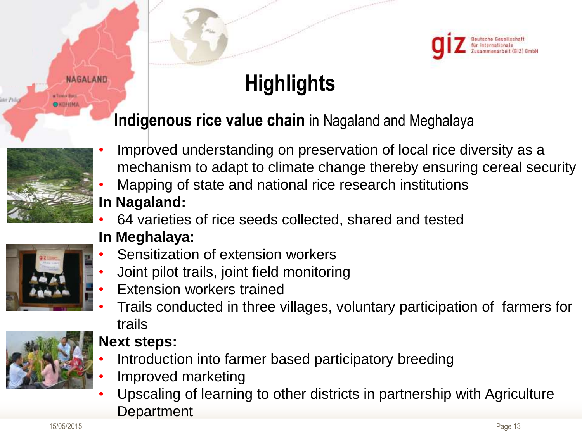

#### **Indigenous rice value chain** in Nagaland and Meghalaya



**NAGALAND** 

- Improved understanding on preservation of local rice diversity as a mechanism to adapt to climate change thereby ensuring cereal security
- Mapping of state and national rice research institutions **In Nagaland:**
- 64 varieties of rice seeds collected, shared and tested



#### **In Meghalaya:**

- Sensitization of extension workers
- Joint pilot trails, joint field monitoring
- Extension workers trained
- Trails conducted in three villages, voluntary participation of farmers for trails



#### **Next steps:**

- Introduction into farmer based participatory breeding
- Improved marketing
- Upscaling of learning to other districts in partnership with Agriculture **Department**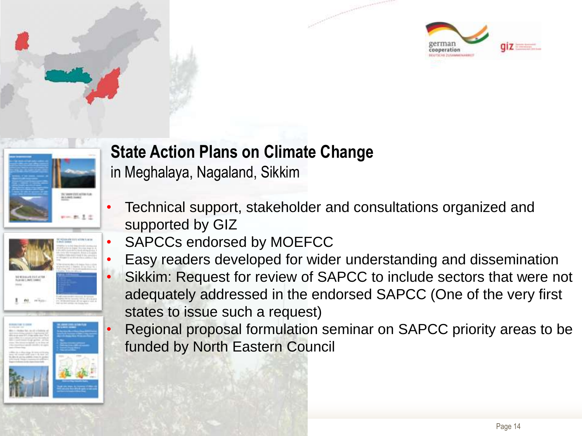







### **State Action Plans on Climate Change**

in Meghalaya, Nagaland, Sikkim

- Technical support, stakeholder and consultations organized and supported by GIZ
- SAPCCs endorsed by MOEFCC
- Easy readers developed for wider understanding and dissemination Sikkim: Request for review of SAPCC to include sectors that were not adequately addressed in the endorsed SAPCC (One of the very first states to issue such a request)
- Regional proposal formulation seminar on SAPCC priority areas to be funded by North Eastern Council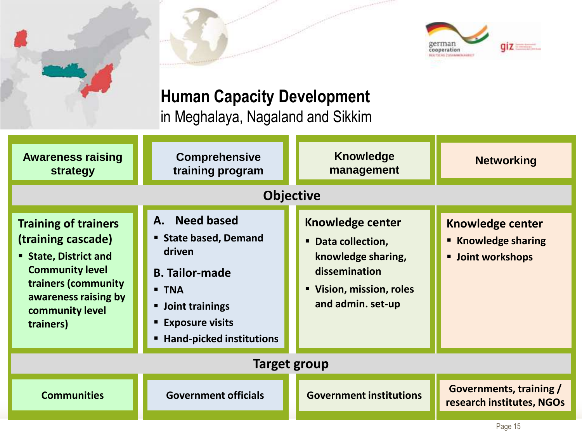

### **Human Capacity Development**

in Meghalaya, Nagaland and Sikkim

| <b>Awareness raising</b><br>strategy                                                                                                                                                     | <b>Comprehensive</b><br>training program                                                                                                                                            | <b>Knowledge</b><br>management                                                                                                        | <b>Networking</b>                                                        |
|------------------------------------------------------------------------------------------------------------------------------------------------------------------------------------------|-------------------------------------------------------------------------------------------------------------------------------------------------------------------------------------|---------------------------------------------------------------------------------------------------------------------------------------|--------------------------------------------------------------------------|
| <b>Objective</b>                                                                                                                                                                         |                                                                                                                                                                                     |                                                                                                                                       |                                                                          |
| <b>Training of trainers</b><br>(training cascade)<br><b>State, District and</b><br><b>Community level</b><br>trainers (community<br>awareness raising by<br>community level<br>trainers) | A. Need based<br>State based, Demand<br>driven<br><b>B. Tailor-made</b><br><b>- TNA</b><br><b>Joint trainings</b><br><b>Exposure visits</b><br><b>Hand-picked institutions</b><br>٠ | <b>Knowledge center</b><br>• Data collection,<br>knowledge sharing,<br>dissemination<br>" Vision, mission, roles<br>and admin. set-up | <b>Knowledge center</b><br>■ Knowledge sharing<br><b>Joint workshops</b> |
| Target group                                                                                                                                                                             |                                                                                                                                                                                     |                                                                                                                                       |                                                                          |
| <b>Communities</b>                                                                                                                                                                       | <b>Government officials</b>                                                                                                                                                         | <b>Government institutions</b>                                                                                                        | <b>Governments, training /</b><br>research institutes, NGOs              |
|                                                                                                                                                                                          |                                                                                                                                                                                     |                                                                                                                                       | Page 15                                                                  |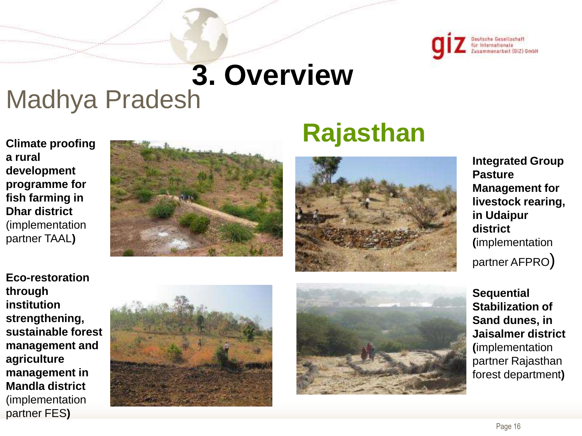

# **3. Overview**

# Madhya Pradesh

**Climate proofing a rural development programme for fish farming in Dhar district**  (implementation partner TAAL**)**



# **Rajasthan**



**Integrated Group Pasture Management for livestock rearing, in Udaipur district (**implementation partner AFPRO)

**Eco-restoration through institution strengthening, sustainable forest management and agriculture management in Mandla district**  (implementation partner FES**)**





**Sequential Stabilization of Sand dunes, in Jaisalmer district (**implementation partner Rajasthan forest department**)**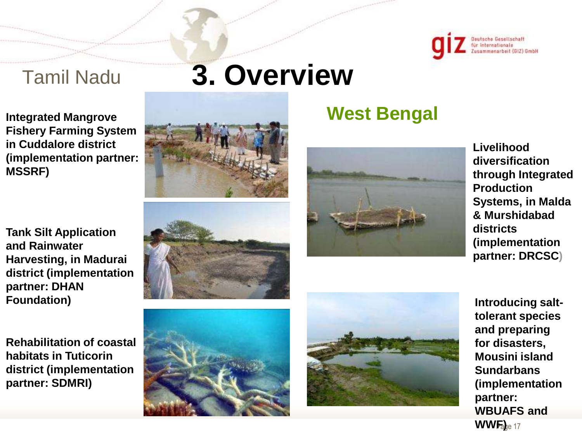

### Tamil Nadu

**Integrated Mangrove Fishery Farming System in Cuddalore district (implementation partner: MSSRF)**

**Tank Silt Application and Rainwater Harvesting, in Madurai district (implementation partner: DHAN Foundation)**

**Rehabilitation of coastal habitats in Tuticorin district (implementation partner: SDMRI)**

# **3. Overview**







**West Bengal**

**Livelihood diversification through Integrated Production Systems, in Malda & Murshidabad districts (implementation partner: DRCSC)**





 $WWF_0$ e 17 **Introducing salttolerant species and preparing for disasters, Mousini island Sundarbans (implementation partner: WBUAFS and**